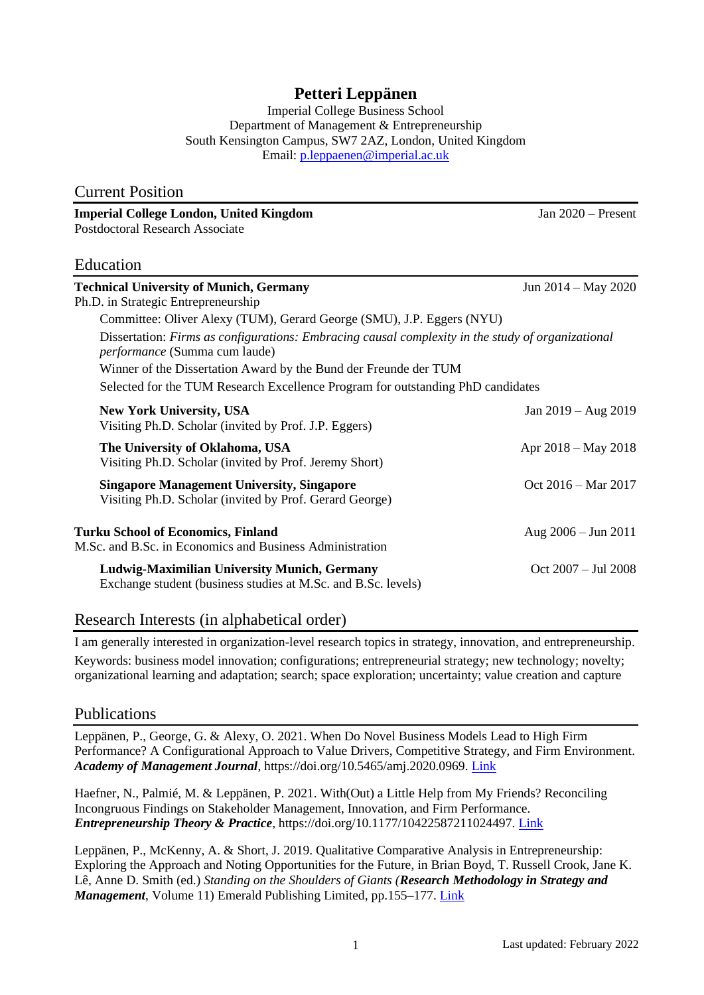# **Petteri Leppänen**

Imperial College Business School Department of Management & Entrepreneurship South Kensington Campus, SW7 2AZ, London, United Kingdom Email: [p.leppaenen@imperial.ac.uk](mailto:p.leppaenen@imperial.ac.uk)

| <b>Current Position</b>                                                                                                            |                               |
|------------------------------------------------------------------------------------------------------------------------------------|-------------------------------|
| <b>Imperial College London, United Kingdom</b>                                                                                     | Jan $2020$ – Present          |
| <b>Postdoctoral Research Associate</b>                                                                                             |                               |
| Education                                                                                                                          |                               |
| <b>Technical University of Munich, Germany</b><br>Ph.D. in Strategic Entrepreneurship                                              | Jun $2014 - May 2020$         |
| Committee: Oliver Alexy (TUM), Gerard George (SMU), J.P. Eggers (NYU)                                                              |                               |
| Dissertation: Firms as configurations: Embracing causal complexity in the study of organizational<br>performance (Summa cum laude) |                               |
| Winner of the Dissertation Award by the Bund der Freunde der TUM                                                                   |                               |
| Selected for the TUM Research Excellence Program for outstanding PhD candidates                                                    |                               |
| <b>New York University, USA</b><br>Visiting Ph.D. Scholar (invited by Prof. J.P. Eggers)                                           | Jan $2019 - Aug 2019$         |
| The University of Oklahoma, USA<br>Visiting Ph.D. Scholar (invited by Prof. Jeremy Short)                                          | Apr $2018 - May 2018$         |
| <b>Singapore Management University, Singapore</b><br>Visiting Ph.D. Scholar (invited by Prof. Gerard George)                       | Oct $2016 - \text{Mar } 2017$ |
| <b>Turku School of Economics, Finland</b><br>M.Sc. and B.Sc. in Economics and Business Administration                              | Aug $2006 - \text{Jun } 2011$ |
| Ludwig-Maximilian University Munich, Germany<br>Exchange student (business studies at M.Sc. and B.Sc. levels)                      | $Oct 2007 - Jul 2008$         |

## Research Interests (in alphabetical order)

I am generally interested in organization-level research topics in strategy, innovation, and entrepreneurship. Keywords: business model innovation; configurations; entrepreneurial strategy; new technology; novelty; organizational learning and adaptation; search; space exploration; uncertainty; value creation and capture

## Publications

Leppänen, P., George, G. & Alexy, O. 2021. When Do Novel Business Models Lead to High Firm Performance? A Configurational Approach to Value Drivers, Competitive Strategy, and Firm Environment. *Academy of Management Journal*, https://doi.org/10.5465/amj.2020.0969. [Link](https://doi.org/10.5465/amj.2020.0969)

Haefner, N., Palmié, M. & Leppänen, P. 2021. With(Out) a Little Help from My Friends? Reconciling Incongruous Findings on Stakeholder Management, Innovation, and Firm Performance. *Entrepreneurship Theory & Practice*, https://doi.org/10.1177/10422587211024497. [Link](https://doi.org/10.1177/10422587211024497)

Leppänen, P., McKenny, A. & Short, J. 2019. Qualitative Comparative Analysis in Entrepreneurship: Exploring the Approach and Noting Opportunities for the Future, in Brian Boyd, T. Russell Crook, Jane K. Lê, Anne D. Smith (ed.) *Standing on the Shoulders of Giants (Research Methodology in Strategy and Management*, Volume 11) Emerald Publishing Limited, pp.155–177. [Link](https://www.emerald.com/insight/content/doi/10.1108/S1479-838720190000011010/full/html)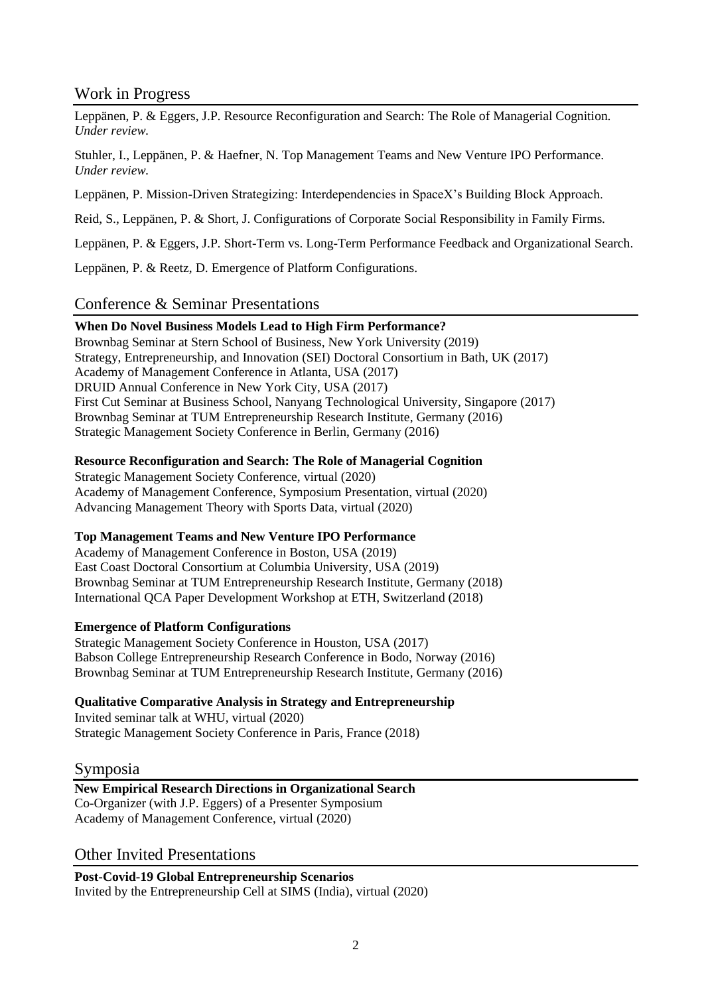# Work in Progress

Leppänen, P. & Eggers, J.P. Resource Reconfiguration and Search: The Role of Managerial Cognition. *Under review.*

Stuhler, I., Leppänen, P. & Haefner, N. Top Management Teams and New Venture IPO Performance. *Under review.*

Leppänen, P. Mission-Driven Strategizing: Interdependencies in SpaceX's Building Block Approach.

Reid, S., Leppänen, P. & Short, J. Configurations of Corporate Social Responsibility in Family Firms.

Leppänen, P. & Eggers, J.P. Short-Term vs. Long-Term Performance Feedback and Organizational Search.

Leppänen, P. & Reetz, D. Emergence of Platform Configurations.

# Conference & Seminar Presentations

### **When Do Novel Business Models Lead to High Firm Performance?**

Brownbag Seminar at Stern School of Business, New York University (2019) Strategy, Entrepreneurship, and Innovation (SEI) Doctoral Consortium in Bath, UK (2017) Academy of Management Conference in Atlanta, USA (2017) DRUID Annual Conference in New York City, USA (2017) First Cut Seminar at Business School, Nanyang Technological University, Singapore (2017) Brownbag Seminar at TUM Entrepreneurship Research Institute, Germany (2016) Strategic Management Society Conference in Berlin, Germany (2016)

## **Resource Reconfiguration and Search: The Role of Managerial Cognition**

Strategic Management Society Conference, virtual (2020) Academy of Management Conference, Symposium Presentation, virtual (2020) Advancing Management Theory with Sports Data, virtual (2020)

#### **Top Management Teams and New Venture IPO Performance**

Academy of Management Conference in Boston, USA (2019) East Coast Doctoral Consortium at Columbia University, USA (2019) Brownbag Seminar at TUM Entrepreneurship Research Institute, Germany (2018) International QCA Paper Development Workshop at ETH, Switzerland (2018)

#### **Emergence of Platform Configurations**

Strategic Management Society Conference in Houston, USA (2017) Babson College Entrepreneurship Research Conference in Bodo, Norway (2016) Brownbag Seminar at TUM Entrepreneurship Research Institute, Germany (2016)

#### **Qualitative Comparative Analysis in Strategy and Entrepreneurship**

Invited seminar talk at WHU, virtual (2020) Strategic Management Society Conference in Paris, France (2018)

## Symposia

#### **New Empirical Research Directions in Organizational Search** Co-Organizer (with J.P. Eggers) of a Presenter Symposium Academy of Management Conference, virtual (2020)

## Other Invited Presentations

**Post-Covid-19 Global Entrepreneurship Scenarios** Invited by the Entrepreneurship Cell at SIMS (India), virtual (2020)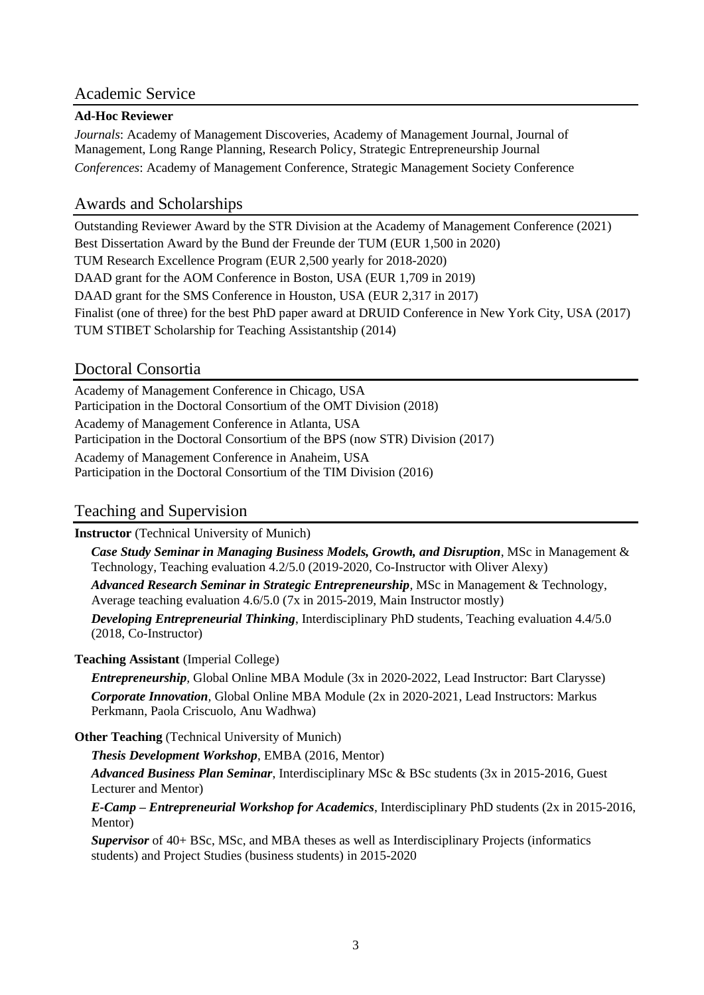# Academic Service

### **Ad-Hoc Reviewer**

*Journals*: Academy of Management Discoveries, Academy of Management Journal, Journal of Management, Long Range Planning, Research Policy, Strategic Entrepreneurship Journal *Conferences*: Academy of Management Conference, Strategic Management Society Conference

## Awards and Scholarships

Outstanding Reviewer Award by the STR Division at the Academy of Management Conference (2021) Best Dissertation Award by the Bund der Freunde der TUM (EUR 1,500 in 2020) TUM Research Excellence Program (EUR 2,500 yearly for 2018-2020) DAAD grant for the AOM Conference in Boston, USA (EUR 1,709 in 2019) DAAD grant for the SMS Conference in Houston, USA (EUR 2,317 in 2017) Finalist (one of three) for the best PhD paper award at DRUID Conference in New York City, USA (2017) TUM STIBET Scholarship for Teaching Assistantship (2014)

# Doctoral Consortia

Academy of Management Conference in Chicago, USA Participation in the Doctoral Consortium of the OMT Division (2018) Academy of Management Conference in Atlanta, USA Participation in the Doctoral Consortium of the BPS (now STR) Division (2017) Academy of Management Conference in Anaheim, USA Participation in the Doctoral Consortium of the TIM Division (2016)

# Teaching and Supervision

**Instructor** (Technical University of Munich)

*Case Study Seminar in Managing Business Models, Growth, and Disruption*, MSc in Management & Technology, Teaching evaluation 4.2/5.0 (2019-2020, Co-Instructor with Oliver Alexy)

*Advanced Research Seminar in Strategic Entrepreneurship,* MSc in Management & Technology, Average teaching evaluation 4.6/5.0 (7x in 2015-2019, Main Instructor mostly)

*Developing Entrepreneurial Thinking*, Interdisciplinary PhD students, Teaching evaluation 4.4/5.0 (2018, Co-Instructor)

#### **Teaching Assistant** (Imperial College)

*Entrepreneurship,* Global Online MBA Module (3x in 2020-2022, Lead Instructor: Bart Clarysse) *Corporate Innovation,* Global Online MBA Module (2x in 2020-2021, Lead Instructors: Markus Perkmann, Paola Criscuolo, Anu Wadhwa)

## **Other Teaching** (Technical University of Munich)

*Thesis Development Workshop*, EMBA (2016, Mentor)

*Advanced Business Plan Seminar*, Interdisciplinary MSc & BSc students (3x in 2015-2016, Guest Lecturer and Mentor)

*E-Camp – Entrepreneurial Workshop for Academics*, Interdisciplinary PhD students (2x in 2015-2016, Mentor)

*Supervisor* of 40+ BSc, MSc, and MBA theses as well as Interdisciplinary Projects (informatics students) and Project Studies (business students) in 2015-2020